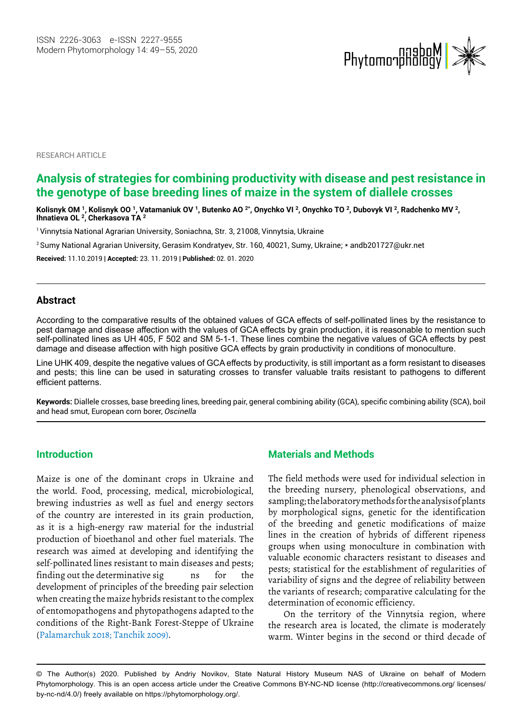

**RESEARCH ARTICLE** 

# **Analysis of strategies for combining productivity with disease and pest resistance in the genotype of base breeding lines of maize in the system of diallele crosses**

Kolisnyk OM <sup>1</sup>, Kolisnyk OO <sup>1</sup>, Vatamaniuk OV <sup>1</sup>, Butenko AO <sup>2\*</sup>, Onychko VI <sup>2</sup>, Onychko TO <sup>2</sup>, Dubovyk VI <sup>2</sup>, Radchenko MV <sup>2</sup>, **Ihnatieva OL <sup>2</sup> , Cherkasova TA <sup>2</sup>**

<sup>1</sup> Vinnytsia National Agrarian University, Soniachna, Str. 3, 21008, Vinnytsia, Ukraine

<sup>2</sup>Sumy National Agrarian University, Gerasim Kondratyev, Str. 160, 40021, Sumy, Ukraine; \* andb201727@ukr.net

**Received:** 11.10.2019 | **Accepted:** 23. 11. 2019 | **Published:** 02. 01. 2020

### **Abstract**

According to the comparative results of the obtained values of GCA effects of self-pollinated lines by the resistance to pest damage and disease affection with the values of GCA effects by grain production, it is reasonable to mention such self-pollinated lines as UH 405, F 502 and SM 5-1-1. These lines combine the negative values of GCA effects by pest damage and disease affection with high positive GCA effects by grain productivity in conditions of monoculture.

Line UHK 409, despite the negative values of GCA effects by productivity, is still important as a form resistant to diseases and pests; this line can be used in saturating crosses to transfer valuable traits resistant to pathogens to different efficient patterns.

**Keywords:** Diallele crosses, base breeding lines, breeding pair, general combining ability (GCA), specific combining ability (SCA), boil and head smut, European corn borer, *Oscinella*

### **Introduction**

Maize is one of the dominant crops in Ukraine and the world. Food, processing, medical, microbiological, brewing industries as well as fuel and energy sectors of the country are interested in its grain production, as it is a high-energy raw material for the industrial production of bioethanol and other fuel materials. The research was aimed at developing and identifying the self-pollinated lines resistant to main diseases and pests; finding out the determinative sig has for the development of principles of the breeding pair selection when creating the maize hybrids resistant to the complex of entomopathogens and phytopathogens adapted to the conditions of the Right-Bank Forest-Steppe of Ukraine (Palamarchuk 2018; Tanchik 2009).

### **Materials and Methods**

The field methods were used for individual selection in the breeding nursery, phenological observations, and sampling; the laboratory methods for the analysis of plants by morphological signs, genetic for the identification of the breeding and genetic modifications of maize lines in the creation of hybrids of different ripeness groups when using monoculture in combination with valuable economic characters resistant to diseases and pests; statistical for the establishment of regularities of variability of signs and the degree of reliability between the variants of research; comparative calculating for the determination of economic efficiency.

On the territory of the Vinnytsia region, where the research area is located, the climate is moderately warm. Winter begins in the second or third decade of

© The Author(s) 2020. Published by Andriy Novikov, State Natural History Museum NAS of Ukraine on behalf of Modern Phytomorphology. This is an open access article under the Creative Commons BY-NC-ND license (http://creativecommons.org/ licenses/ by‑nc‑nd/4.0/) freely available on https://phytomorphology.org/.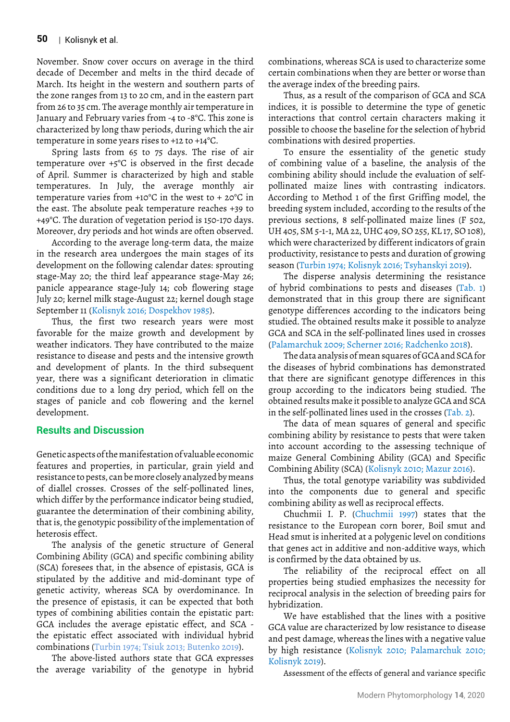November. Snow cover occurs on average in the third decade of December and melts in the third decade of March. Its height in the western and southern parts of the zone ranges from 13 to 20 cm, and in the eastern part from 26 to 35 cm. The average monthly air temperature in January and February varies from -4 to -8°C. This zone is characterized by long thaw periods, during which the air temperature in some years rises to +12 to +14°C.

Spring lasts from 65 to 75 days. The rise of air temperature over +5°C is observed in the first decade of April. Summer is characterized by high and stable temperatures. In July, the average monthly air temperature varies from +10°C in the west to + 20°C in the east. The absolute peak temperature reaches +39 to +49°C. The duration of vegetation period is 150-170 days. Moreover, dry periods and hot winds are often observed.

According to the average long-term data, the maize in the research area undergoes the main stages of its development on the following calendar dates: sprouting stage-May 20; the third leaf appearance stage-May 26; panicle appearance stage-July 14; cob flowering stage July 20; kernel milk stage-August 22; kernel dough stage September 11 (Kolisnyk 2016; Dospekhov 1985).

Thus, the first two research years were most favorable for the maize growth and development by weather indicators. They have contributed to the maize resistance to disease and pests and the intensive growth and development of plants. In the third subsequent year, there was a significant deterioration in climatic conditions due to a long dry period, which fell on the stages of panicle and cob flowering and the kernel development.

## **Results and Discussion**

Genetic aspects of the manifestation of valuable economic features and properties, in particular, grain yield and resistance to pests, can be more closely analyzed by means of diallel crosses. Crosses of the self-pollinated lines, which differ by the performance indicator being studied, guarantee the determination of their combining ability, that is, the genotypic possibility of the implementation of heterosis effect.

The analysis of the genetic structure of General Combining Ability (GCA) and specific combining ability (SCA) foresees that, in the absence of epistasis, GCA is stipulated by the additive and mid-dominant type of genetic activity, whereas SCA by overdominance. In the presence of epistasis, it can be expected that both types of combining abilities contain the epistatic part: GCA includes the average epistatic effect, and SCA the epistatic effect associated with individual hybrid combinations (Turbin 1974; Tsiuk 2013; Butenko 2019).

The above-listed authors state that GCA expresses the average variability of the genotype in hybrid combinations, whereas SCA is used to characterize some certain combinations when they are better or worse than the average index of the breeding pairs.

Thus, as a result of the comparison of GCA and SCA indices, it is possible to determine the type of genetic interactions that control certain characters making it possible to choose the baseline for the selection of hybrid combinations with desired properties.

To ensure the essentiality of the genetic study of combining value of a baseline, the analysis of the combining ability should include the evaluation of selfpollinated maize lines with contrasting indicators. According to Method 1 of the first Griffing model, the breeding system included, according to the results of the previous sections, 8 self-pollinated maize lines (F 502, UH 405, SM 5-1-1, MA 22, UHC 409, SO 255, KL 17, SO 108), which were characterized by different indicators of grain productivity, resistance to pests and duration of growing season (Turbin 1974; Kolisnyk 2016; Tsyhanskyi 2019).

The disperse analysis determining the resistance of hybrid combinations to pests and diseases (Tab. 1) demonstrated that in this group there are significant genotype differences according to the indicators being studied. The obtained results make it possible to analyze GCA and SCA in the self-pollinated lines used in crosses (Palamarchuk 2009; Scherner 2016; Radchenko 2018).

The data analysis of mean squares of GCA and SCA for the diseases of hybrid combinations has demonstrated that there are significant genotype differences in this group according to the indicators being studied. The obtained results make it possible to analyze GCA and SCA in the self-pollinated lines used in the crosses (Tab. 2).

The data of mean squares of general and specific combining ability by resistance to pests that were taken into account according to the assessing technique of maize General Combining Ability (GCA) and Specific Combining Ability (SCA) (Kolisnyk 2010; Mazur 2016).

Thus, the total genotype variability was subdivided into the components due to general and specific combining ability as well as reciprocal effects.

Chuchmii I. P. (Chuchmii 1997) states that the resistance to the European corn borer, Boil smut and Head smut is inherited at a polygenic level on conditions that genes act in additive and non-additive ways, which is confirmed by the data obtained by us.

The reliability of the reciprocal effect on all properties being studied emphasizes the necessity for reciprocal analysis in the selection of breeding pairs for hybridization.

We have established that the lines with a positive GCA value are characterized by low resistance to disease and pest damage, whereas the lines with a negative value by high resistance (Kolisnyk 2010; Palamarchuk 2010; Kolisnyk 2019).

Assessment of the effects of general and variance specific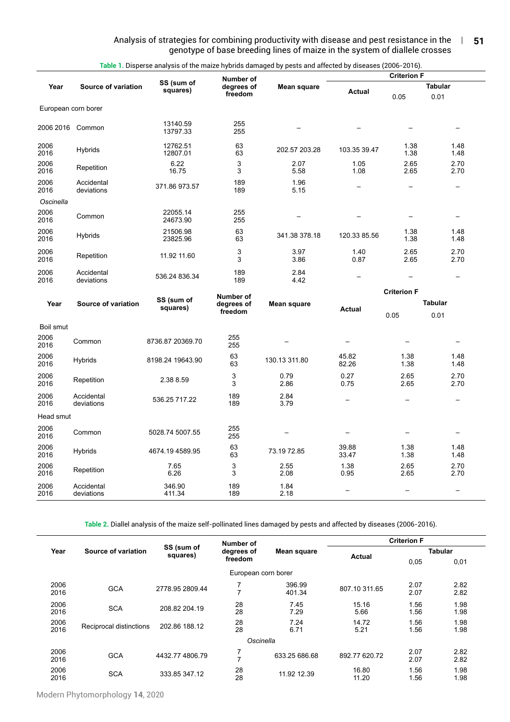#### Analysis of strategies for combining productivity with disease and pest resistance in the  $\;\;\;$  | genotype of base breeding lines of maize in the system of diallele crosses **51**

|                     |                          |                        | Number of             | Table 1. Disperse analysis of the maize hybrids damaged by pests and affected by diseases (2006-2016). |                          | <b>Criterion F</b>       |                          |
|---------------------|--------------------------|------------------------|-----------------------|--------------------------------------------------------------------------------------------------------|--------------------------|--------------------------|--------------------------|
| Year                | Source of variation      | SS (sum of<br>squares) | degrees of            | Mean square                                                                                            | <b>Actual</b>            |                          | <b>Tabular</b>           |
|                     |                          |                        | freedom               |                                                                                                        |                          | 0.05                     | 0.01                     |
| European corn borer |                          |                        |                       |                                                                                                        |                          |                          |                          |
| 2006 2016 Common    |                          | 13140.59<br>13797.33   | 255<br>255            |                                                                                                        |                          |                          |                          |
| 2006<br>2016        | Hybrids                  | 12762.51<br>12807.01   | 63<br>63              | 202.57 203.28                                                                                          | 103.35 39.47             | 1.38<br>1.38             | 1.48<br>1.48             |
| 2006<br>2016        | Repetition               | 6.22<br>16.75          | 3<br>3                | 2.07<br>5.58                                                                                           | 1.05<br>1.08             | 2.65<br>2.65             | 2.70<br>2.70             |
| 2006<br>2016        | Accidental<br>deviations | 371.86973.57           | 189<br>189            | 1.96<br>5.15                                                                                           | $\overline{\phantom{0}}$ | $\overline{\phantom{0}}$ | $\overline{\phantom{0}}$ |
| Oscinella           |                          |                        |                       |                                                                                                        |                          |                          |                          |
| 2006<br>2016        | Common                   | 22055.14<br>24673.90   | 255<br>255            |                                                                                                        |                          |                          |                          |
| 2006<br>2016        | Hybrids                  | 21506.98<br>23825.96   | 63<br>63              | 341.38 378.18                                                                                          | 120.33 85.56             | 1.38<br>1.38             | 1.48<br>1.48             |
| 2006<br>2016        | Repetition               | 11.92 11.60            | 3<br>3                | 3.97<br>3.86                                                                                           | 1.40<br>0.87             | 2.65<br>2.65             | 2.70<br>2.70             |
| 2006<br>2016        | Accidental<br>deviations | 536.24 836.34          | 189<br>189            | 2.84<br>4.42                                                                                           |                          |                          |                          |
|                     |                          |                        | Number of             |                                                                                                        |                          | <b>Criterion F</b>       |                          |
| Year                | Source of variation      | SS (sum of<br>squares) | degrees of<br>freedom | Mean square                                                                                            | <b>Actual</b>            | 0.05                     | <b>Tabular</b><br>0.01   |
| Boil smut           |                          |                        |                       |                                                                                                        |                          |                          |                          |
| 2006<br>2016        | Common                   | 8736.87 20369.70       | 255<br>255            |                                                                                                        | $\overline{\phantom{0}}$ |                          |                          |
| 2006<br>2016        | Hybrids                  | 8198.24 19643.90       | 63<br>63              | 130.13 311.80                                                                                          | 45.82<br>82.26           | 1.38<br>1.38             | 1.48<br>1.48             |
| 2006<br>2016        | Repetition               | 2.38 8.59              | 3<br>3                | 0.79<br>2.86                                                                                           | 0.27<br>0.75             | 2.65<br>2.65             | 2.70<br>2.70             |
| 2006<br>2016        | Accidental<br>deviations | 536.25 717.22          | 189<br>189            | 2.84<br>3.79                                                                                           |                          |                          |                          |
| Head smut           |                          |                        |                       |                                                                                                        |                          |                          |                          |
| 2006<br>2016        | Common                   | 5028.74 5007.55        | 255<br>255            |                                                                                                        |                          |                          |                          |
| 2006<br>2016        | Hybrids                  | 4674.19 4589.95        | 63<br>63              | 73.19 72.85                                                                                            | 39.88<br>33.47           | 1.38<br>1.38             | 1.48<br>1.48             |
| 2006<br>2016        | Repetition               | 7.65<br>6.26           | 3<br>3                | 2.55<br>2.08                                                                                           | 1.38<br>0.95             | 2.65<br>2.65             | 2.70<br>2.70             |
| 2006<br>2016        | Accidental<br>deviations | 346.90<br>411.34       | 189<br>189            | 1.84<br>2.18                                                                                           | $\qquad \qquad -$        | $\overline{\phantom{0}}$ |                          |

**Table 1.** Disperse analysis of the maize hybrids damaged by pests and affected by diseases (2006-2016).

**Table 2.** Diallel analysis of the maize self-pollinated lines damaged by pests and affected by diseases (2006-2016).

|              |                         |                        | Number of                 |                  | <b>Criterion F</b> |              |                |  |
|--------------|-------------------------|------------------------|---------------------------|------------------|--------------------|--------------|----------------|--|
| Year         | Source of variation     | SS (sum of<br>squares) | Mean square<br>degrees of |                  |                    |              | <b>Tabular</b> |  |
|              |                         |                        | freedom                   |                  | <b>Actual</b>      | 0,05         | 0,01           |  |
|              |                         |                        | European corn borer       |                  |                    |              |                |  |
| 2006<br>2016 | <b>GCA</b>              | 2778.95 2809.44        | ⇁<br>$\overline{ }$       | 396.99<br>401.34 | 807.10 311.65      | 2.07<br>2.07 | 2.82<br>2.82   |  |
| 2006<br>2016 | <b>SCA</b>              | 208.82 204.19          | 28<br>28                  | 7.45<br>7.29     | 15.16<br>5.66      | 1.56<br>1.56 | 1.98<br>1.98   |  |
| 2006<br>2016 | Reciprocal distinctions | 202.86 188.12          | 28<br>28                  | 7.24<br>6.71     | 14.72<br>5.21      | 1.56<br>1.56 | 1.98<br>1.98   |  |
|              |                         |                        | Oscinella                 |                  |                    |              |                |  |
| 2006<br>2016 | <b>GCA</b>              | 4432.774806.79         | 7<br>$\mathbf{I}$         | 633.25 686.68    | 892.77 620.72      | 2.07<br>2.07 | 2.82<br>2.82   |  |
| 2006<br>2016 | <b>SCA</b>              | 333.85 347.12          | 28<br>28                  | 11.92 12.39      | 16.80<br>11.20     | 1.56<br>1.56 | 1.98<br>1.98   |  |

Modern Phytomorphology **14**, 2020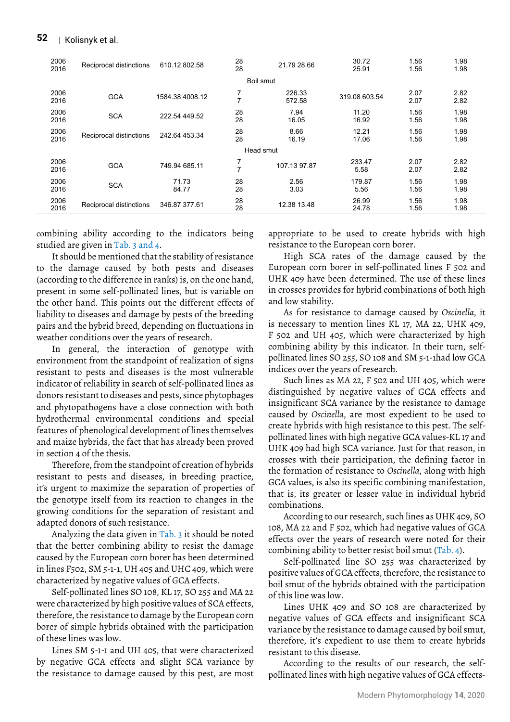| 2006<br>2016 | Reciprocal distinctions | 610.12 802.58   | 28<br>28            | 21.79 28.66      | 30.72<br>25.91 | 1.56<br>1.56 | 1.98<br>1.98 |
|--------------|-------------------------|-----------------|---------------------|------------------|----------------|--------------|--------------|
|              |                         |                 |                     | Boil smut        |                |              |              |
| 2006<br>2016 | <b>GCA</b>              | 1584.38 4008.12 | 7<br>$\overline{ }$ | 226.33<br>572.58 | 319.08 603.54  | 2.07<br>2.07 | 2.82<br>2.82 |
| 2006<br>2016 | <b>SCA</b>              | 222.54 449.52   | 28<br>28            | 7.94<br>16.05    | 11.20<br>16.92 | 1.56<br>1.56 | 1.98<br>1.98 |
| 2006<br>2016 | Reciprocal distinctions | 242.64 453.34   | 28<br>28            | 8.66<br>16.19    | 12.21<br>17.06 | 1.56<br>1.56 | 1.98<br>1.98 |
|              |                         |                 |                     | Head smut        |                |              |              |
| 2006<br>2016 | <b>GCA</b>              | 749.94 685.11   | 7<br>$\overline{z}$ | 107.13 97.87     | 233.47<br>5.58 | 2.07<br>2.07 | 2.82<br>2.82 |
| 2006<br>2016 | <b>SCA</b>              | 71.73<br>84.77  | 28<br>28            | 2.56<br>3.03     | 179.87<br>5.56 | 1.56<br>1.56 | 1.98<br>1.98 |
| 2006<br>2016 | Reciprocal distinctions | 346.87 377.61   | 28<br>28            | 12.38 13.48      | 26.99<br>24.78 | 1.56<br>1.56 | 1.98<br>1.98 |

combining ability according to the indicators being studied are given in Tab. 3 and 4.

It should be mentioned that the stability of resistance to the damage caused by both pests and diseases (according to the difference in ranks) is, on the one hand, present in some self-pollinated lines, but is variable on the other hand. This points out the different effects of liability to diseases and damage by pests of the breeding pairs and the hybrid breed, depending on fluctuations in weather conditions over the years of research.

In general, the interaction of genotype with environment from the standpoint of realization of signs resistant to pests and diseases is the most vulnerable indicator of reliability in search of self-pollinated lines as donors resistant to diseases and pests, since phytophages and phytopathogens have a close connection with both hydrothermal environmental conditions and special features of phenological development of lines themselves and maize hybrids, the fact that has already been proved in section 4 of the thesis.

Therefore, from the standpoint of creation of hybrids resistant to pests and diseases, in breeding practice, it's urgent to maximize the separation of properties of the genotype itself from its reaction to changes in the growing conditions for the separation of resistant and adapted donors of such resistance.

Analyzing the data given in Tab. 3 it should be noted that the better combining ability to resist the damage caused by the European corn borer has been determined in lines F502, SM 5-1-1, UH 405 and UHC 409, which were characterized by negative values of GCA effects.

Self-pollinated lines SO 108, KL 17, SO 255 and MA 22 were characterized by high positive values of SCA effects, therefore, the resistance to damage by the European corn borer of simple hybrids obtained with the participation of these lines was low.

Lines SM 5-1-1 and UH 405, that were characterized by negative GCA effects and slight SCA variance by the resistance to damage caused by this pest, are most appropriate to be used to create hybrids with high resistance to the European corn borer.

High SCA rates of the damage caused by the European corn borer in self-pollinated lines F 502 and UHK 409 have been determined. The use of these lines in crosses provides for hybrid combinations of both high and low stability.

As for resistance to damage caused by *Oscinella*, it is necessary to mention lines KL 17, MA 22, UHK 409, F 502 and UH 405, which were characterized by high combining ability by this indicator. In their turn, selfpollinated lines SO 255, SO 108 and SM 5-1-1had low GCA indices over the years of research.

Such lines as MA 22, F 502 and UH 405, which were distinguished by negative values of GCA effects and insignificant SCA variance by the resistance to damage caused by *Oscinella*, are most expedient to be used to create hybrids with high resistance to this pest. The selfpollinated lines with high negative GCA values-KL 17 and UHK 409 had high SCA variance. Just for that reason, in crosses with their participation, the defining factor in the formation of resistance to *Oscinella*, along with high GCA values, is also its specific combining manifestation, that is, its greater or lesser value in individual hybrid combinations.

According to our research, such lines as UHK 409, SO 108, MA 22 and F 502, which had negative values of GCA effects over the years of research were noted for their combining ability to better resist boil smut (Tab. 4).

Self-pollinated line SO 255 was characterized by positive values of GCA effects, therefore, the resistance to boil smut of the hybrids obtained with the participation of this line was low.

Lines UHK 409 and SO 108 are characterized by negative values of GCA effects and insignificant SCA variance by the resistance to damage caused by boil smut, therefore, it's expedient to use them to create hybrids resistant to this disease.

According to the results of our research, the selfpollinated lines with high negative values of GCA effects-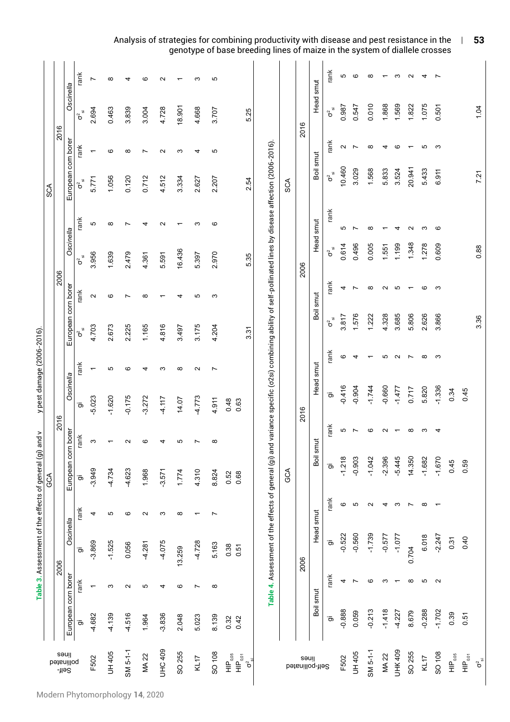|                                                                                                   |                     |                          | Table 3. Assessment of the effects of general (gi) and v |                          |                     |                          |                | y pest damage (2006-2016). |                                                                                                      |                   |                      |           |                                 |                   |                             |                          |
|---------------------------------------------------------------------------------------------------|---------------------|--------------------------|----------------------------------------------------------|--------------------------|---------------------|--------------------------|----------------|----------------------------|------------------------------------------------------------------------------------------------------|-------------------|----------------------|-----------|---------------------------------|-------------------|-----------------------------|--------------------------|
|                                                                                                   |                     |                          |                                                          |                          | GCA                 |                          |                |                            |                                                                                                      |                   |                      |           | SCA                             |                   |                             |                          |
| səuil<br>-lle <sup>2</sup>                                                                        |                     |                          | 2006                                                     |                          |                     | 2016                     |                |                            |                                                                                                      | 2006              |                      |           |                                 | 2016              |                             |                          |
| pethnilloq                                                                                        | European corn borer |                          | Oscinella                                                |                          | European corn borer |                          | Oscinella      |                            | European corn borer                                                                                  |                   | Oscinella            |           | European corn borer             |                   | Oscinella                   |                          |
|                                                                                                   | .ම                  | rank                     | $\bar{\sigma}$                                           | rank                     | ಾ                   | rank                     | ಾ              | rank                       | $\sigma^2_{\bar{\mathfrak{v}}}$                                                                      | rank              | $\sigma^2$           | rank      | $\sigma^2$                      | rank              | $\sigma^{\overline{\circ}}$ | rank                     |
| F502                                                                                              | -4.682              | $\overline{\phantom{0}}$ | $-3.869$                                                 | 4                        | $-3.949$            | S                        | $-5.023$       | $\overline{\phantom{0}}$   | 4.703                                                                                                | $\sim$            | 3.956                | ъ         | 5.771                           |                   | 2.694                       | $\overline{ }$           |
| <b>UH 405</b>                                                                                     | $-4.139$            | S                        | $-1.525$                                                 | Б                        | -4.734              | $\overline{\phantom{0}}$ | $-1.620$       | Б                          | 2.673                                                                                                | ဖ                 | 1.639                | $\infty$  | 1.056                           | ဖ                 | 0.463                       | $\infty$                 |
| $SM 5-1-1$                                                                                        | $-4.516$            | $\sim$                   | 0.056                                                    | ဖ                        | $-4.623$            | $\sim$                   | $-0.175$       | ဖ                          | 2.225                                                                                                | ∼                 | 2.479                | N         | 0.120                           | ∞                 | 3.839                       | 4                        |
| MA 22                                                                                             | 1.964               | Ю                        | $-4.281$                                                 | $\sim$                   | 1.968               | ဖ                        | $-3.272$       | 4                          | 1.165                                                                                                | $\infty$          | 4.361                | 4         | 0.712                           | Ľ                 | 3.004                       | ဖ                        |
| UHC 409                                                                                           | $-3.836$            | 4                        | -4.075                                                   | S                        | $-3.571$            | 4                        | $-4.117$       | S                          | 4.816                                                                                                |                   | 5.591                | $\sim$    | 4.512                           | $\sim$            | 4.728                       | $\sim$                   |
| SO 255                                                                                            | 2.048               | ဖ                        | 13.259                                                   | $\infty$                 | 1.774               | Ю                        | 14.07          | $\infty$                   | 3.497                                                                                                | 4                 | 16.436               |           | 3.334                           | က                 | 18.901                      |                          |
| KL17                                                                                              | 5.023               | $\overline{ }$           | $-4.728$                                                 | $\overline{\phantom{0}}$ | 4.310               | Ľ                        | 4.773          | $\mathbf{\Omega}$          | 3.175                                                                                                | ю                 | 5.397                | က         | 2.627                           | 4                 | 4.668                       | က                        |
| SO 108                                                                                            | 8.139               | $\infty$                 | 5.163                                                    | $\overline{ }$           | 8.824               | $\infty$                 | 4.911          | $\overline{ }$             | 4.204                                                                                                | S                 | 2.970                | ဖ         | 2.207                           | ю                 | 3.707                       | Ю                        |
| $\frac{\mathsf{HP}^{\mathsf{0,05}}_{\mathsf{0,05}}}{\mathsf{HP}^{\mathsf{0,05}}_{\mathsf{0,01}}}$ | 0.32<br>0.42        |                          | 0.38<br>0.51                                             |                          | 0.52<br>0.68        |                          | 0.48<br>0.63   |                            |                                                                                                      |                   |                      |           |                                 |                   |                             |                          |
| $\sigma^2$ $\frac{1}{2}$                                                                          |                     |                          |                                                          |                          |                     |                          |                |                            | 3.31                                                                                                 |                   | 535                  |           | 2.54                            |                   | 525                         |                          |
|                                                                                                   |                     |                          | Table 4. Assessment of the effects of general (gi) and   |                          |                     |                          |                |                            | variance specific (o2si) combining ability of self-pollinated lines by disease affection (2006-2016) |                   |                      |           |                                 |                   |                             |                          |
|                                                                                                   |                     |                          |                                                          |                          | GCA                 |                          |                |                            |                                                                                                      |                   |                      |           | SCA                             |                   |                             |                          |
| səuil                                                                                             |                     |                          | 2006                                                     |                          |                     |                          | 2016           |                            |                                                                                                      |                   | 2006                 |           |                                 |                   | 2016                        |                          |
| Self-pollinated                                                                                   | Boil smut           |                          | Head smut                                                |                          |                     | Boil smut                |                | Head smut                  |                                                                                                      | Boil smut         |                      | Head smut | Boil smut                       |                   | Head smut                   |                          |
|                                                                                                   | $\bar{\sigma}$      | rank                     | $\bar{\sigma}$                                           | rank                     | ີ ອ                 | rank                     | $\bar{\sigma}$ | rank                       | $\sigma^2_{\bar{\omega}}$                                                                            | rank              | $\sigma^2_{\bar{w}}$ | rank      | $\sigma^2_{\bar{\mathfrak{v}}}$ | rank              | $\sigma^2$                  | rank                     |
| F502                                                                                              | $-0.888$            | 4                        | $-0.522$                                                 | $\pmb{\circ}$            | $-1.218$            | 5                        | $-0.416$       | ဖ                          | 3.817                                                                                                | 4                 | 0.614                | Ю         | 10.460                          | $\mathbf{\Omega}$ | 0.987                       | 5                        |
| <b>UH 405</b>                                                                                     | 0.059               | $\overline{ }$           | $-0.560$                                                 | Б                        | $-0.903$            | $\overline{ }$           | $-0.904$       | 4                          | 1.576                                                                                                | $\overline{ }$    | 0.496                | Z         | 3.029                           | $\overline{ }$    | 0.547                       | $\circ$                  |
| $SM 5-1-1$                                                                                        | $-0.213$            | ဖ                        | $-1.739$                                                 | $\sim$                   | $-1.042$            | ဖ                        | $-1.744$       | ᠇                          | 1.222                                                                                                | $\infty$          | 0.005                | $\infty$  | 1.568                           | $\infty$          | 0.010                       | $\infty$                 |
| MA 22                                                                                             | $-1.418$            | S                        | $-0.577$                                                 | 4                        | $-2.396$            | $\mathbf{\Omega}$        | $-0.660$       | ю                          | 4.328                                                                                                | $\mathbf{\Omega}$ | 1.551                |           | 5.833                           | 4                 | 1.868                       | $\overline{\phantom{0}}$ |
| <b>UHK 409</b>                                                                                    | $-4.227$            | $\overline{\phantom{0}}$ | $-1.077$                                                 | S                        | $-5.445$            | ۳                        | $-1.477$       | $\mathbf{\Omega}$          | 3.685                                                                                                | Ю                 | 1.199                | 4         | 3.524                           | G                 | 1.569                       | ო                        |
| SO 255                                                                                            | 8.679               | $\infty$                 | 0.704                                                    | $\overline{ }$           | 14.350              | $\infty$                 | 0.717          | ∼                          | 5.806                                                                                                | $\overline{ }$    | 1.348                | $\sim$    | 20.941                          | $\overline{ }$    | 1.822                       | $\sim$                   |
| KL17                                                                                              | $-0.288$            | ю                        | 6.018                                                    | $\infty$                 | $-1.682$            | ო                        | 5.820          | $\infty$                   | 2.626                                                                                                | ဖ                 | 1.278                | ო         | 5.433                           | ю                 | 1.075                       | 4                        |
| SO 108                                                                                            | $-1.702$            | $\sim$                   | $-2.247$                                                 | $\overline{\phantom{0}}$ | $-1.670$            | 4                        | $-1.336$       | S                          | 3.866                                                                                                | S                 | 0.609                | ဖ         | 6.911                           | S                 | 0.501                       | Ľ                        |
| HIP <sub>0.05</sub>                                                                               | 0.39                |                          | 0.31                                                     |                          | 0.45                |                          | 0.34           |                            |                                                                                                      |                   |                      |           |                                 |                   |                             |                          |
| HIP <sub>0.01</sub>                                                                               | 0.51                |                          | 0.40                                                     |                          | 0.59                |                          | 0.45           |                            |                                                                                                      |                   |                      |           |                                 |                   |                             |                          |
| $\sigma^2_{\bar{\rm w}}$                                                                          |                     |                          |                                                          |                          |                     |                          |                |                            | 3.36                                                                                                 |                   | 0.88                 |           | 7.21                            |                   | 1.04                        |                          |

#### Analysis of strategies for combining productivity with disease and pest resistance in the | genotype of base breeding lines of maize in the system of diallele crosses  **53**

Modern Phytomorphology **14**, 2020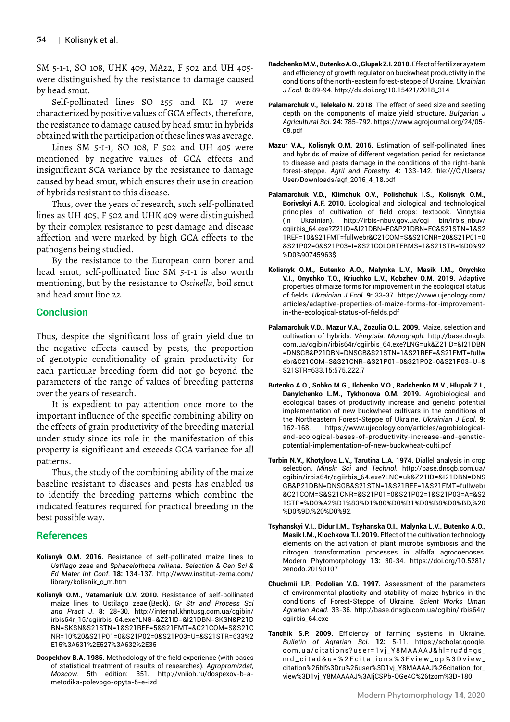SM 5-1-1, SO 108, UHK 409, MA22, F 502 and UH 405 were distinguished by the resistance to damage caused by head smut.

Self-pollinated lines SO 255 and KL 17 were characterized by positive values of GCA effects, therefore, the resistance to damage caused by head smut in hybrids obtained with the participation of these lines was average.

Lines SM 5-1-1, SO 108, F 502 and UH 405 were mentioned by negative values of GCA effects and insignificant SCA variance by the resistance to damage caused by head smut, which ensures their use in creation of hybrids resistant to this disease.

Thus, over the years of research, such self-pollinated lines as UH 405, F 502 and UHK 409 were distinguished by their complex resistance to pest damage and disease affection and were marked by high GCA effects to the pathogens being studied.

By the resistance to the European corn borer and head smut, self-pollinated line SM 5-1-1 is also worth mentioning, but by the resistance to *Oscinella*, boil smut and head smut line 22.

## **Conclusion**

Thus, despite the significant loss of grain yield due to the negative effects caused by pests, the proportion of genotypic conditionality of grain productivity for each particular breeding form did not go beyond the parameters of the range of values of breeding patterns over the years of research.

It is expedient to pay attention once more to the important influence of the specific combining ability on the effects of grain productivity of the breeding material under study since its role in the manifestation of this property is significant and exceeds GCA variance for all patterns.

Thus, the study of the combining ability of the maize baseline resistant to diseases and pests has enabled us to identify the breeding patterns which combine the indicated features required for practical breeding in the best possible way.

## **References**

- **Kolisnyk О.M. 2016.** Resistance of self-pollinated maize lines to *Ustilago zeae* and *Sphacelotheca reiliana*. *Selection & Gen Sci & Ed Mater Int Conf*. **18:** 134-137. http://www.institut-zerna.com/ library/kolisnik\_o\_m.htm
- **Kolisnyk О.M., Vatamaniuk O.V. 2010.** Resistance of self-pollinated maize lines to Ustilago zeae (Beck). *Gr Str and Process Sci and Pract J*. **8:** 28-30. [http://internal.khntusg.com.ua/cgib](http://internal.khntusg.com.ua/cgi)in/ irbis64r\_15/cgiirbis\_64.exe?LNG=&Z21ID=&I21DBN=SKSN&P21D BN=SKSN&S21STN=1&S21REF=5&S21FMT=&C21COM=S&S21C NR=10%20&S21P01=0&S21P02=0&S21P03=U=&S21STR=633%2 E15%3A631%2E527%3A632%2E35
- **Dospekhov B.A. 1985.** Methodology of the field experience (with bases of statistical treatment of results of researches)*. Agropromizdat, Moscow.* 5th edition: 351*.* http://vniioh.ru/dospexov-b-ametodika-polevogo-opyta-5-e-izd
- **Radchenko M.V., Butenko A.O., Glupak Z.I. 2018.** Effect of fertilizer system and efficiency of growth regulator on buckwheat productivity in the conditions of the north-eastern forest-steppe of Ukraine. *Ukrainian J Ecol*. **8:** 89-94. http://dx.doi.org/10.15421/2018\_314
- **Palamarchuk V., Telekalo N. 2018.** The effect of seed size and seeding depth on the components of maize yield structure. *Bulgarian J Agricultural Sci*. **24:** 785-792. https://www.agrojournal.org/24/05- 08.pdf
- **Mazur V.A., Kolisnyk O.M. 2016.** Estimation of self-pollinated lines and hybrids of maize of different vegetation period for resistance to disease and pests damage in the conditions of the right-bank forest-steppe. *Agril and Forestry.* **4:** 133-142. file:///C:/Users/ User/Downloads/agf\_2016\_4\_18.pdf
- **Palamarchuk V.D., Klimchuk О.V., Polishchuk I.S., Kolisnyk О.M., Borivskyi A.F. 2010.** Ecological and biological and technological principles of cultivation of field crops: textbook. Vinnytsia (in Ukrainian). http://irbis-nbuv.gov.ua/cgi bin/irbis\_nbuv/ cgiirbis\_64.exe?Z21ID=&I21DBN=EC&P21DBN=EC&S21STN=1&S2 1REF=10&S21FMT=fullwebr&C21COM=S&S21CNR=20&S21P01=0 &S21P02=0&S21P03=I=&S21COLORTERMS=1&S21STR=%D0%92 %D0%90745963\$
- **Kolisnyk O.M., Butenko A.O., Malynka L.V., Masik I.M., Onychko V.I., Onychko T.O., Kriuchko L.V., Kobzhev O.M. 2019.** Adaptive properties of maize forms for improvement in the ecological status of fields. *Ukrainian J Ecol*. **9:** 33-37. https://www.ujecology.com/ articles/adaptive-properties-of-maize-forms-for-improvementin-the-ecological-status-of-fields.pdf
- **Palamarchuk V.D., Mazur V.A., Zozulia O.L. 2009.** Maize, selection and cultivation of hybrids. *Vinnytsia: Monograph*. http://base.dnsgb. com.ua/cgibin/irbis64r/cgiirbis\_64.exe?LNG=uk&Z21ID=&I21DBN =DNSGB&P21DBN=DNSGB&S21STN=1&S21REF=&S21FMT=fullw ebr&C21COM=S&S21CNR=&S21P01=0&S21P02=0&S21P03=U=& S21STR=633.15:575.222.7
- **Butenko A.O., Sobko M.G., Ilchenko V.O., Radchenko M.V., Hlupak Z.I., Danylchenko L.M., Tykhonova O.M. 2019.** Agrobiological and ecological bases of productivity increase and genetic potential implementation of new buckwheat cultivars in the conditions of the Northeastern Forest-Steppe of Ukraine. *Ukrainian J Ecol*. **9:** 162-168. https://www.ujecology.com/articles/agrobiologicaland-ecological-bases-of-productivity-increase-and-geneticpotential-implementation-of-new-buckwheat-culti.pdf
- **Turbin N.V., Khotylova L.V., Tarutina L.A. 1974.** Diallel analysis in crop selection. *Minsk: Sci and Technol.* http://base.dnsgb.com.ua/ cgibin/irbis64r/cgiirbis\_64.exe?LNG=uk&Z21ID=&I21DBN=DNS GB&P21DBN=DNSGB&S21STN=1&S21REF=1&S21FMT=fullwebr &C21COM=S&S21CNR=&S21P01=0&S21P02=1&S21P03=A=&S2 1STR=%D0%A2%D1%83%D1%80%D0%B1%D0%B8%D0%BD,%20 %D0%9D.%20%D0%92.
- **Tsyhanskyi V.I., Didur I.M., Tsyhanska O.I., Malynka L.V., Butenko A.O., Masik I.M., Klochkova T.I. 2019.** Effect of the cultivation technology elements on the activation of plant microbe symbiosis and the nitrogen transformation processes in alfalfa agrocoenoses. Modern Phytomorphology **13:** 30-34. https://doi.org/10.5281/ zenodo.20190107
- **Chuchmii I.P., Podolian V.G. 1997.** Assessment of the parameters of environmental plasticity and stability of maize hybrids in the conditions of Forest-Steppe of Ukraine. *Scient Works Uman Agrarian Acad.* 33-36. http://base.dnsgb.com.ua/cgibin/irbis64r/ cgiirbis\_64.exe
- **Tanchik S.P. 2009.** Efficiency of farming systems in Ukraine. *Bulletin of Agrarian Sci*. **12:** 5-11. https://scholar.google. com.ua/citations?user=1vj\_Y8MAAAAJ&hl=ru#d=gs\_ md\_citad&u=%2Fcitations%3Fview\_op%3Dview\_ citation%26hl%3Dru%26user%3D1vj\_Y8MAAAAJ%26citation\_for\_ view%3D1vj\_Y8MAAAAJ%3AIjCSPb-OGe4C%26tzom%3D-180